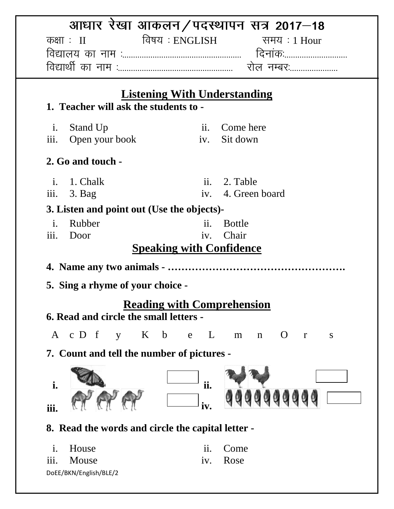| आधार रेखा आकलन/पदस्थापन सत्र 2017–18                                               |                                       |  |
|------------------------------------------------------------------------------------|---------------------------------------|--|
| विषय : ENGLISH<br>कक्षाः $\text{II}$                                               | समय : 1 Hour                          |  |
|                                                                                    |                                       |  |
|                                                                                    |                                       |  |
| <b>Listening With Understanding</b>                                                |                                       |  |
| 1. Teacher will ask the students to -                                              |                                       |  |
| $\mathbf{i}$ .<br>Stand Up                                                         | ii. Come here                         |  |
| iii.<br>iv.<br>Open your book                                                      | Sit down                              |  |
| 2. Go and touch -                                                                  |                                       |  |
| i. 1. Chalk                                                                        | ii. 2. Table                          |  |
| iii.<br>$3.$ Bag                                                                   | iv. 4. Green board                    |  |
| 3. Listen and point out (Use the objects)-                                         |                                       |  |
| Rubber<br>ii.<br>$\mathbf{i}$ .                                                    | <b>Bottle</b>                         |  |
| iii.<br>Door                                                                       | iv. Chair                             |  |
| <b>Speaking with Confidence</b>                                                    |                                       |  |
|                                                                                    |                                       |  |
| 5. Sing a rhyme of your choice -                                                   |                                       |  |
| <b>Reading with Comprehension</b><br><b>6. Read and circle the small letters -</b> |                                       |  |
| K<br>$\mathbf b$<br>A c D f<br>L                                                   | $\mathbf O$                           |  |
| $\mathbf{V}$<br>e                                                                  | $\mathbf n$<br>m<br>$\mathbf{r}$<br>S |  |
| 7. Count and tell the number of pictures -                                         |                                       |  |
|                                                                                    |                                       |  |
| ii.<br>i.                                                                          |                                       |  |
| iv.<br>iii.                                                                        |                                       |  |
| 8. Read the words and circle the capital letter -                                  |                                       |  |
| House<br>$\overline{11}$ .<br>$\mathbf{i}$ .                                       | Come                                  |  |
| Mouse<br><i>iii.</i><br>iv.                                                        | Rose                                  |  |
| DoEE/BKN/English/BLE/2                                                             |                                       |  |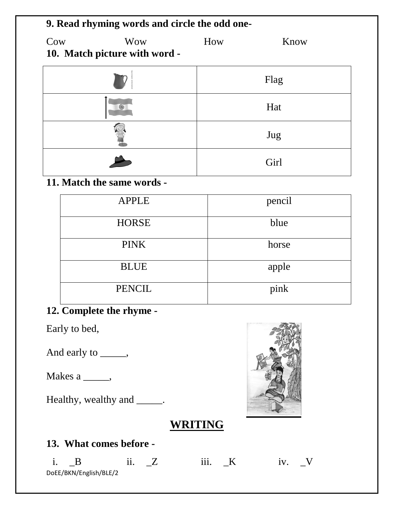| 9. Read rhyming words and circle the odd one- |                                             |     |      |  |
|-----------------------------------------------|---------------------------------------------|-----|------|--|
| Cow                                           | <b>Wow</b><br>10. Match picture with word - | How | Know |  |
|                                               |                                             |     | Flag |  |
|                                               | 编                                           |     | Hat  |  |
|                                               |                                             |     | Jug  |  |
|                                               |                                             |     | Girl |  |

# **11. Match the same words -**

| <b>APPLE</b>             | pencil |
|--------------------------|--------|
| <b>HORSE</b>             | blue   |
| <b>PINK</b>              | horse  |
| <b>BLUE</b>              | apple  |
| <b>PENCIL</b>            | pink   |
| 12. Complete the rhyme - |        |

Early to bed,

And early to \_\_\_\_\_,

Makes a \_\_\_\_\_,

Healthy, wealthy and \_\_\_\_\_.

## **WRITING**

### **13. What comes before -**

|                        |  | $\cdots$ |  |
|------------------------|--|----------|--|
| DoEE/BKN/English/BLE/2 |  |          |  |

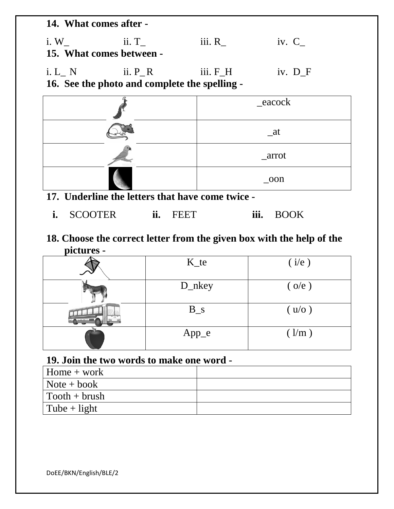**14. What comes after**  i. W<sub>\_</sub> ii. T\_ iii. R\_ iv. C\_ **15. What comes between -**

i. L\_ N ii. P\_R iii. F\_H iv. D\_F **16. See the photo and complete the spelling -**

| _eacock       |
|---------------|
| at            |
| arrot         |
| $_{\rm -00n}$ |

- **17. Underline the letters that have come twice** 
	- **i.** SCOOTER **ii.** FEET **iii.** BOOK
- **18. Choose the correct letter from the given box with the help of the pictures -**

| $K_{t}$ | (i/e)       |
|---------|-------------|
| D_nkey  | $($ o/e $)$ |
| $B_s$   | (u/o)       |
| $App_e$ | (1/m)       |

#### **19. Join the two words to make one word -**

| $Home + work$         |  |
|-----------------------|--|
| $\vert$ Note + book   |  |
| $\vert$ Tooth + brush |  |
| $\vert$ Tube + light  |  |